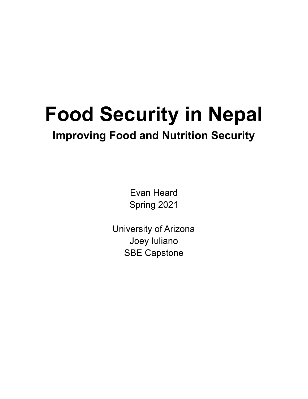# **Food Security in Nepal Improving Food and Nutrition Security**

Evan Heard Spring 2021

University of Arizona Joey Iuliano SBE Capstone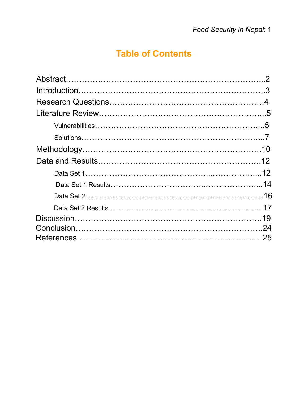# **Table of Contents**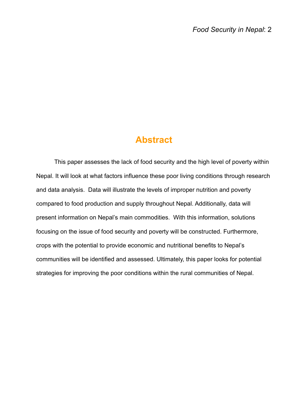### **Abstract**

This paper assesses the lack of food security and the high level of poverty within Nepal. It will look at what factors influence these poor living conditions through research and data analysis. Data will illustrate the levels of improper nutrition and poverty compared to food production and supply throughout Nepal. Additionally, data will present information on Nepal's main commodities. With this information, solutions focusing on the issue of food security and poverty will be constructed. Furthermore, crops with the potential to provide economic and nutritional benefits to Nepal's communities will be identified and assessed. Ultimately, this paper looks for potential strategies for improving the poor conditions within the rural communities of Nepal.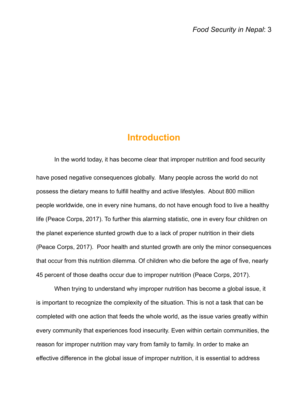### **Introduction**

In the world today, it has become clear that improper nutrition and food security have posed negative consequences globally. Many people across the world do not possess the dietary means to fulfill healthy and active lifestyles. About 800 million people worldwide, one in every nine humans, do not have enough food to live a healthy life (Peace Corps, 2017). To further this alarming statistic, one in every four children on the planet experience stunted growth due to a lack of proper nutrition in their diets (Peace Corps, 2017). Poor health and stunted growth are only the minor consequences that occur from this nutrition dilemma. Of children who die before the age of five, nearly 45 percent of those deaths occur due to improper nutrition (Peace Corps, 2017).

When trying to understand why improper nutrition has become a global issue, it is important to recognize the complexity of the situation. This is not a task that can be completed with one action that feeds the whole world, as the issue varies greatly within every community that experiences food insecurity. Even within certain communities, the reason for improper nutrition may vary from family to family. In order to make an effective difference in the global issue of improper nutrition, it is essential to address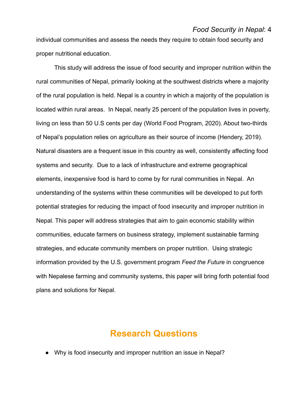individual communities and assess the needs they require to obtain food security and proper nutritional education.

This study will address the issue of food security and improper nutrition within the rural communities of Nepal, primarily looking at the southwest districts where a majority of the rural population is held. Nepal is a country in which a majority of the population is located within rural areas. In Nepal, nearly 25 percent of the population lives in poverty, living on less than 50 U.S cents per day (World Food Program, 2020). About two-thirds of Nepal's population relies on agriculture as their source of income (Hendery, 2019). Natural disasters are a frequent issue in this country as well, consistently affecting food systems and security. Due to a lack of infrastructure and extreme geographical elements, inexpensive food is hard to come by for rural communities in Nepal. An understanding of the systems within these communities will be developed to put forth potential strategies for reducing the impact of food insecurity and improper nutrition in Nepal. This paper will address strategies that aim to gain economic stability within communities, educate farmers on business strategy, implement sustainable farming strategies, and educate community members on proper nutrition. Using strategic information provided by the U.S. government program *Feed the Future* in congruence with Nepalese farming and community systems, this paper will bring forth potential food plans and solutions for Nepal.

### **Research Questions**

• Why is food insecurity and improper nutrition an issue in Nepal?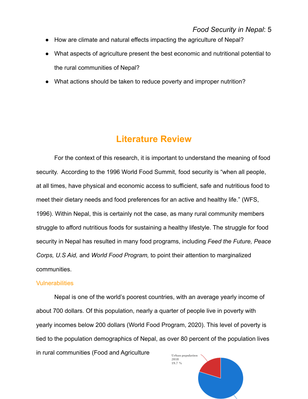- How are climate and natural effects impacting the agriculture of Nepal?
- What aspects of agriculture present the best economic and nutritional potential to the rural communities of Nepal?
- What actions should be taken to reduce poverty and improper nutrition?

### **Literature Review**

For the context of this research, it is important to understand the meaning of food security. According to the 1996 World Food Summit, food security is "when all people, at all times, have physical and economic access to sufficient, safe and nutritious food to meet their dietary needs and food preferences for an active and healthy life." (WFS, 1996). Within Nepal, this is certainly not the case, as many rural community members struggle to afford nutritious foods for sustaining a healthy lifestyle. The struggle for food security in Nepal has resulted in many food programs, including *Feed the Future, Peace Corps, U.S Aid,* and *World Food Program,* to point their attention to marginalized communities.

#### **Vulnerabilities**

Nepal is one of the world's poorest countries, with an average yearly income of about 700 dollars. Of this population, nearly a quarter of people live in poverty with yearly incomes below 200 dollars (World Food Program, 2020). This level of poverty is tied to the population demographics of Nepal, as over 80 percent of the population lives in rural communities (Food and AgricultureUrban population

2018 19.7%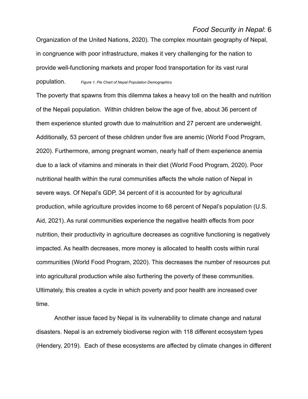Organization of the United Nations, 2020). The complex mountain geography of Nepal, in congruence with poor infrastructure, makes it very challenging for the nation to provide well-functioning markets and proper food transportation for its vast rural population. *Figure 1. Pie Chart of Nepal Population Demographics*

The poverty that spawns from this dilemma takes a heavy toll on the health and nutrition of the Nepali population. Within children below the age of five, about 36 percent of them experience stunted growth due to malnutrition and 27 percent are underweight. Additionally, 53 percent of these children under five are anemic (World Food Program, 2020). Furthermore, among pregnant women, nearly half of them experience anemia due to a lack of vitamins and minerals in their diet (World Food Program, 2020). Poor nutritional health within the rural communities affects the whole nation of Nepal in severe ways. Of Nepal's GDP, 34 percent of it is accounted for by agricultural production, while agriculture provides income to 68 percent of Nepal's population (U.S. Aid, 2021). As rural communities experience the negative health effects from poor nutrition, their productivity in agriculture decreases as cognitive functioning is negatively impacted. As health decreases, more money is allocated to health costs within rural communities (World Food Program, 2020). This decreases the number of resources put into agricultural production while also furthering the poverty of these communities. Ultimately, this creates a cycle in which poverty and poor health are increased over time.

Another issue faced by Nepal is its vulnerability to climate change and natural disasters. Nepal is an extremely biodiverse region with 118 different ecosystem types (Hendery, 2019). Each of these ecosystems are affected by climate changes in different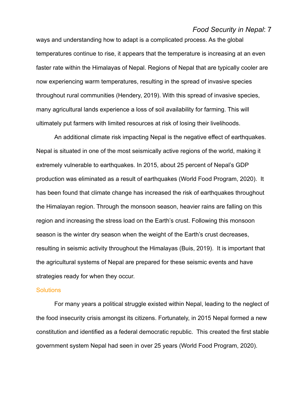ways and understanding how to adapt is a complicated process. As the global temperatures continue to rise, it appears that the temperature is increasing at an even faster rate within the Himalayas of Nepal. Regions of Nepal that are typically cooler are now experiencing warm temperatures, resulting in the spread of invasive species throughout rural communities (Hendery, 2019). With this spread of invasive species, many agricultural lands experience a loss of soil availability for farming. This will ultimately put farmers with limited resources at risk of losing their livelihoods.

An additional climate risk impacting Nepal is the negative effect of earthquakes. Nepal is situated in one of the most seismically active regions of the world, making it extremely vulnerable to earthquakes. In 2015, about 25 percent of Nepal's GDP production was eliminated as a result of earthquakes (World Food Program, 2020). It has been found that climate change has increased the risk of earthquakes throughout the Himalayan region. Through the monsoon season, heavier rains are falling on this region and increasing the stress load on the Earth's crust. Following this monsoon season is the winter dry season when the weight of the Earth's crust decreases, resulting in seismic activity throughout the Himalayas (Buis, 2019). It is important that the agricultural systems of Nepal are prepared for these seismic events and have strategies ready for when they occur.

#### **Solutions**

For many years a political struggle existed within Nepal, leading to the neglect of the food insecurity crisis amongst its citizens. Fortunately, in 2015 Nepal formed a new constitution and identified as a federal democratic republic. This created the first stable government system Nepal had seen in over 25 years (World Food Program, 2020).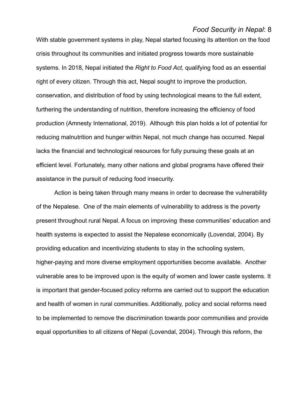With stable government systems in play, Nepal started focusing its attention on the food crisis throughout its communities and initiated progress towards more sustainable systems. In 2018, Nepal initiated the *Right to Food Act,* qualifying food as an essential right of every citizen. Through this act, Nepal sought to improve the production, conservation, and distribution of food by using technological means to the full extent, furthering the understanding of nutrition, therefore increasing the efficiency of food production (Amnesty International, 2019). Although this plan holds a lot of potential for reducing malnutrition and hunger within Nepal, not much change has occurred. Nepal lacks the financial and technological resources for fully pursuing these goals at an efficient level. Fortunately, many other nations and global programs have offered their assistance in the pursuit of reducing food insecurity.

Action is being taken through many means in order to decrease the vulnerability of the Nepalese. One of the main elements of vulnerability to address is the poverty present throughout rural Nepal. A focus on improving these communities' education and health systems is expected to assist the Nepalese economically (Lovendal, 2004). By providing education and incentivizing students to stay in the schooling system, higher-paying and more diverse employment opportunities become available. Another vulnerable area to be improved upon is the equity of women and lower caste systems. It is important that gender-focused policy reforms are carried out to support the education and health of women in rural communities. Additionally, policy and social reforms need to be implemented to remove the discrimination towards poor communities and provide equal opportunities to all citizens of Nepal (Lovendal, 2004). Through this reform, the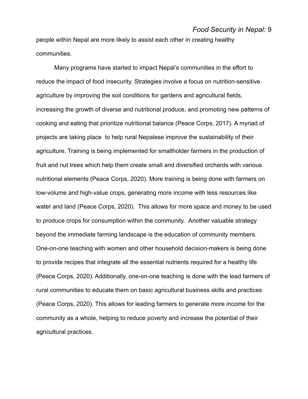people within Nepal are more likely to assist each other in creating healthy communities.

Many programs have started to impact Nepal's communities in the effort to reduce the impact of food insecurity. Strategies involve a focus on nutrition-sensitive agriculture by improving the soil conditions for gardens and agricultural fields, increasing the growth of diverse and nutritional produce, and promoting new patterns of cooking and eating that prioritize nutritional balance (Peace Corps, 2017). A myriad of projects are taking place to help rural Nepalese improve the sustainability of their agriculture. Training is being implemented for smallholder farmers in the production of fruit and nut trees which help them create small and diversified orchards with various nutritional elements (Peace Corps, 2020). More training is being done with farmers on low-volume and high-value crops, generating more income with less resources like water and land (Peace Corps, 2020). This allows for more space and money to be used to produce crops for consumption within the community. Another valuable strategy beyond the immediate farming landscape is the education of community members. One-on-one teaching with women and other household decision-makers is being done to provide recipes that integrate all the essential nutrients required for a healthy life (Peace Corps, 2020). Additionally, one-on-one teaching is done with the lead farmers of rural communities to educate them on basic agricultural business skills and practices (Peace Corps, 2020). This allows for leading farmers to generate more income for the community as a whole, helping to reduce poverty and increase the potential of their agricultural practices.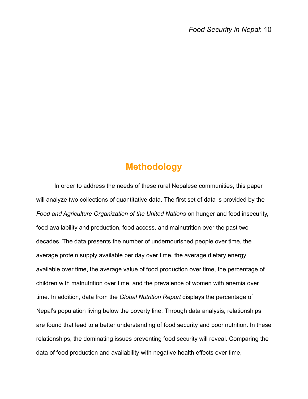### **Methodology**

In order to address the needs of these rural Nepalese communities, this paper will analyze two collections of quantitative data. The first set of data is provided by the *Food and Agriculture Organization of the United Nations* on hunger and food insecurity, food availability and production, food access, and malnutrition over the past two decades. The data presents the number of undernourished people over time, the average protein supply available per day over time, the average dietary energy available over time, the average value of food production over time, the percentage of children with malnutrition over time, and the prevalence of women with anemia over time. In addition, data from the *Global Nutrition Report* displays the percentage of Nepal's population living below the poverty line. Through data analysis, relationships are found that lead to a better understanding of food security and poor nutrition. In these relationships, the dominating issues preventing food security will reveal. Comparing the data of food production and availability with negative health effects over time,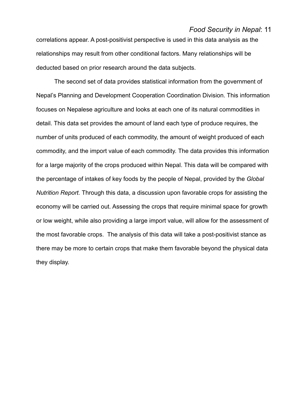correlations appear. A post-positivist perspective is used in this data analysis as the relationships may result from other conditional factors. Many relationships will be deducted based on prior research around the data subjects.

The second set of data provides statistical information from the government of Nepal's Planning and Development Cooperation Coordination Division. This information focuses on Nepalese agriculture and looks at each one of its natural commodities in detail. This data set provides the amount of land each type of produce requires, the number of units produced of each commodity, the amount of weight produced of each commodity, and the import value of each commodity. The data provides this information for a large majority of the crops produced within Nepal. This data will be compared with the percentage of intakes of key foods by the people of Nepal, provided by the *Global Nutrition Report.* Through this data, a discussion upon favorable crops for assisting the economy will be carried out. Assessing the crops that require minimal space for growth or low weight, while also providing a large import value, will allow for the assessment of the most favorable crops. The analysis of this data will take a post-positivist stance as there may be more to certain crops that make them favorable beyond the physical data they display.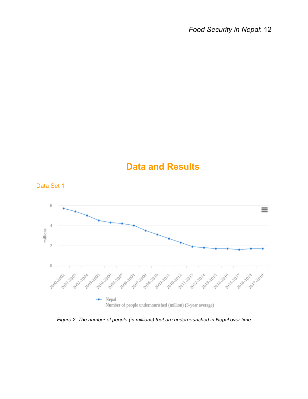## **Data and Results**



*Figure 2. The number of people (in millions) that are undernourished in Nepal over time*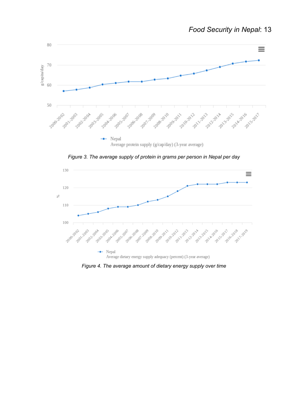

*Figure 3. The average supply of protein in grams per person in Nepal per day*



*Figure 4. The average amount of dietary energy supply over time*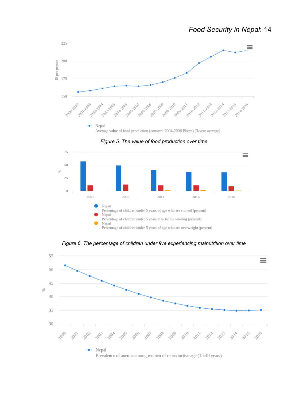

*Figure 5. The value of food production over time*



*Figure 6. The percentage of children under five experiencing malnutrition over time*

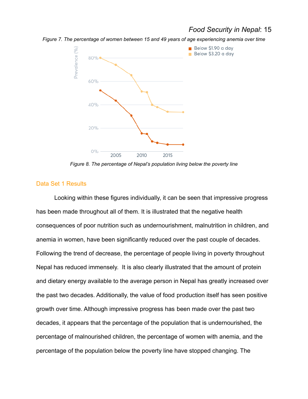*Figure 7. The percentage of women between 15 and 49 years of age experiencing anemia over time*



*Figure 8. The percentage of Nepal's population living below the poverty line*

#### Data Set 1 Results

Looking within these figures individually, it can be seen that impressive progress has been made throughout all of them. It is illustrated that the negative health consequences of poor nutrition such as undernourishment, malnutrition in children, and anemia in women, have been significantly reduced over the past couple of decades. Following the trend of decrease, the percentage of people living in poverty throughout Nepal has reduced immensely. It is also clearly illustrated that the amount of protein and dietary energy available to the average person in Nepal has greatly increased over the past two decades. Additionally, the value of food production itself has seen positive growth over time. Although impressive progress has been made over the past two decades, it appears that the percentage of the population that is undernourished, the percentage of malnourished children, the percentage of women with anemia, and the percentage of the population below the poverty line have stopped changing. The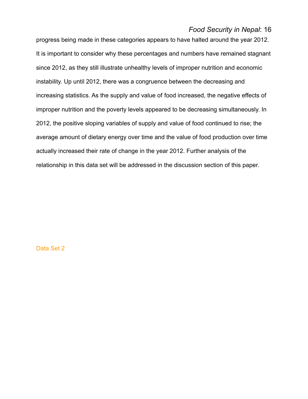progress being made in these categories appears to have halted around the year 2012. It is important to consider why these percentages and numbers have remained stagnant since 2012, as they still illustrate unhealthy levels of improper nutrition and economic instability. Up until 2012, there was a congruence between the decreasing and increasing statistics. As the supply and value of food increased, the negative effects of improper nutrition and the poverty levels appeared to be decreasing simultaneously. In 2012, the positive sloping variables of supply and value of food continued to rise; the average amount of dietary energy over time and the value of food production over time actually increased their rate of change in the year 2012. Further analysis of the relationship in this data set will be addressed in the discussion section of this paper.

Data Set 2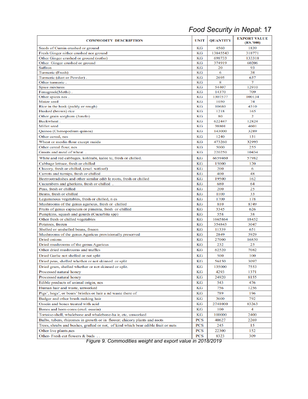| <b>COMMODITY DESCRIPTION</b>                                                      | UNIT     | <b>QUANTITY</b> | <b>EXPORT VALUE</b><br>(RS.7000) |
|-----------------------------------------------------------------------------------|----------|-----------------|----------------------------------|
| Seeds of Cumin crushed or ground                                                  | KG       | 4560            | 1839                             |
| Fresh Ginger nither crushed nor ground                                            | KG       | 13845543        | 318771                           |
| Other Ginger crushed or ground (sutho)                                            | КG       | 698733          | 133318                           |
| Other Ginger crushed or ground                                                    | KG       | 374919          | 60206                            |
| <b>Saffron</b>                                                                    | КG       | 20              | 93                               |
| Turmeric (Fresh)                                                                  | КG       | 6               | 38                               |
| Turmeric (dust or Powder).                                                        | КG       | 2695            | 637                              |
| Other turmeric.                                                                   | КG<br>KG | 8<br>54407      | 7<br>12910                       |
| Spice mixtures<br>Fenugreek(Methi).                                               | КG       | 14370           | 709                              |
| Other spices nes.                                                                 | КG       | 1307577         | 100134                           |
| Maize seed                                                                        | КG       | 1050            | 74                               |
| Rice in the husk (paddy or rough)                                                 | КG       | 10680           | 4310                             |
| Husked (brown) rice                                                               | КG       | 1218            | 165                              |
| Other grain sorghum (Junelo)                                                      | КG       | 80              | 2                                |
| Buckwheat.                                                                        | КG       | 622447          | 12824                            |
| Millet seed                                                                       | КG       | 38801           | 4601                             |
| Quinoa (Chenopodium quinoa)                                                       | КG       | 143000          | 3289                             |
| Other cereal, nes                                                                 | КG       | 1240            | 131                              |
| Wheat or meslin flour except maida                                                | КG       | 473260          | 32993                            |
| Other cereal flour, nes                                                           | КG       | 5000            | 255                              |
| Groats and meal of wheat.                                                         | КG       | 220250          | 10434                            |
| White and red cabbages, kohlrabi, kalee tc, fresh or chilled.                     | КG       | 6659460         | 57982                            |
| Cabbage lettuce, fresh or chilled                                                 | KG       | 15000           | 120                              |
| Chicory, fresh or chilled, (excl. witloof)                                        | КG       | 200             | 6                                |
| Carrots and turnips, fresh or chilled                                             | КG       | 400             | 48                               |
| Beetrootradishes and other similar edib le roots, fresh or chilled                | КG       | 19500           | 162                              |
| Cucumbers and gherkins, fresh or chilled.                                         | КG       | 680             | 64                               |
| Peas, fresh or chilled                                                            | КG       | 200             | 25                               |
| Beans, fresh or chilled                                                           | КG       | 1100            | 33                               |
| Leguminous vegetables, fresh or chilled, n es                                     | КG       | 1700            | 178                              |
| Mushrooms of the genus agaricus, fresh or chilled                                 | КG       | 810             | 8749                             |
| Fruits of genus capiscum or pimenta, fresh or chilled                             | КG       | 3345            | 626                              |
| Pumpkins, squash and gourds (Cucurbita spp)                                       | КG       | 558             | 38                               |
| Other fresh or chilled vegetables                                                 | КG       | 1665864         | 18452                            |
| Potatoes, frozen                                                                  | КG       | 354843          | 3047                             |
| Shelled or unshelled beans, frozen                                                | КG       | 11339           | 651                              |
| Mushrooms of the genus Agaricus provisionally preserved                           | КG       | 2849            | 5929                             |
| Dried onions                                                                      | КG       | <b>27000</b>    | 16850                            |
| Dried mushrooms of the genus Agaricus                                             | КG       | 232             | 25                               |
| Other dried mushrooms and truffles                                                | КG       | 62520           | 7082                             |
| Dried Garlic not shelled or not split                                             | КG       | 500             | 100                              |
| Dried peas, shelled whether or not skinned or split                               | КG       | 56150           | 3097                             |
| Dried gram, shelled whether or not skinned or split.                              | КG       | 135000          | 7553                             |
| Processed natural honey                                                           | КG       | 4293            | 1371                             |
| Processed natural honey                                                           | КG       | 24920           | 8155                             |
| Edible products of animal origin, nes                                             | КG       | 543             | 476                              |
| Human hair and waste, unworked                                                    | КG       | 756             | 1256                             |
| Pigs', hogs', or boars' bristles or hair a nd waste there of                      | КG       | 789             | 196                              |
| Badger and other brush making hair                                                | КG       | 3600            | 792                              |
| Ossein and bones treated with acid                                                | КG       | 2741000         | 83263                            |
|                                                                                   |          |                 |                                  |
| Bones and horn-cores (excl. ossein)                                               | КG       | 100             | 4                                |
| Tortoise-shell, whalebone and whalebone-ha ir, etc, unworked                      | КG       | 100000          | 2400                             |
| Bulbs, tubers, rhizomes in growth or in flower; chicory plants and roots          | PCS      | 40627           | 2269                             |
| Trees, shrubs and bushes, grafted or not, of kind which bear edible fruit or nuts | PCS      | 245             | 15                               |
| Other live plants, nes                                                            | PCS      | 22300           | 152                              |
| Other-Fresh cut flowers & buds                                                    | PCS      | 8323            | 309                              |

*Figure 9. Commodities weight and export value in 2018/2019*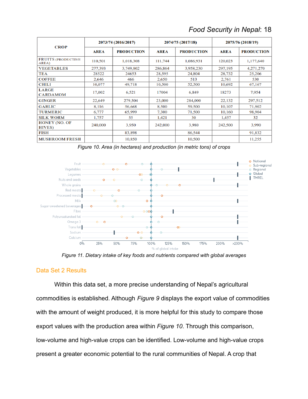|  | Food Security in Nepal: 18 |  |  |
|--|----------------------------|--|--|
|--|----------------------------|--|--|

| <b>CROP</b>                            | 2073/74 (2016/2017) |                   | 2074/75 (2017/18) |                   | 2075/76 (2018/19) |                   |
|----------------------------------------|---------------------|-------------------|-------------------|-------------------|-------------------|-------------------|
|                                        | <b>AREA</b>         | <b>PRODUCTION</b> | <b>AREA</b>       | <b>PRODUCTION</b> | <b>AREA</b>       | <b>PRODUCTION</b> |
| <b>FRUITS (PRODUCTIVE</b><br>AREA)     | 110,501             | 1,018,308         | 111,744           | 1,086,931         | 120,023           | 1,177,640         |
| <b>VEGETABLES</b>                      | 277,393             | 3,749,802         | 286,864           | 3,958,230         | 297,195           | 4,271,270         |
| TEA                                    | 28522               | 24653             | 28,595            | 24,804            | 28,732            | 25,206            |
| <b>COFFEE</b>                          | 2.646               | 466               | 2.650             | 513               | 2,761             | 530               |
| <b>CHILI</b>                           | 10,077              | 49,718            | 10,500            | 52,500            | 10,692            | 67,167            |
| <b>LARGE</b><br><b>CARDAMOM</b>        | 17,002              | 6,521             | 17004             | 6,849             | 18273             | 7,954             |
| <b>GINGER</b>                          | 22,649              | 279,504           | 23,000            | 284,000           | 22,132            | 297,512           |
| <b>GARLIC</b>                          | 8,116               | 56,668            | 8,500             | 59,500            | 10,107            | 71,902            |
| <b>TURMERIC</b>                        | 6,777               | 65,999            | 7.300             | 71,500            | 10,160            | 98,904            |
| <b>SILK WORM</b>                       | 1,757               | 55                | 1,421             | 30                | 1,457             | 32                |
| <b>HONEY (NO. OF</b><br><b>HIVES</b> ) | 240,000             | 3,950             | 242,000           | 3,980             | 242,500           | 3,990             |
| <b>FISH</b>                            |                     | 83,898            |                   | 86,544            |                   | 91,832            |
| <b>MUSHROOM FRESH</b>                  |                     | 10,850            |                   | 10,500            |                   | 11,255            |

*Figure 10. Area (in hectares) and production (in metric tons) of crops*



*Figure 11. Dietary intake of key foods and nutrients compared with global averages*

#### Data Set 2 Results

Within this data set, a more precise understanding of Nepal's agricultural commodities is established. Although *Figure 9* displays the export value of commodities with the amount of weight produced, it is more helpful for this study to compare those export values with the production area within *Figure 10*. Through this comparison, low-volume and high-value crops can be identified. Low-volume and high-value crops present a greater economic potential to the rural communities of Nepal. A crop that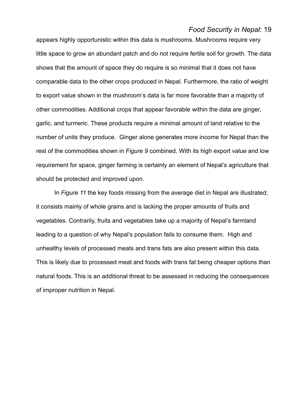appears highly opportunistic within this data is mushrooms. Mushrooms require very little space to grow an abundant patch and do not require fertile soil for growth. The data shows that the amount of space they do require is so minimal that it does not have comparable data to the other crops produced in Nepal. Furthermore, the ratio of weight to export value shown in the mushroom's data is far more favorable than a majority of other commodities. Additional crops that appear favorable within the data are ginger, garlic, and turmeric. These products require a minimal amount of land relative to the number of units they produce. Ginger alone generates more income for Nepal than the rest of the commodities shown in *Figure 9* combined. With its high export value and low requirement for space, ginger farming is certainly an element of Nepal's agriculture that should be protected and improved upon.

In *Figure 11* the key foods missing from the average diet in Nepal are illustrated; it consists mainly of whole grains and is lacking the proper amounts of fruits and vegetables. Contrarily, fruits and vegetables take up a majority of Nepal's farmland leading to a question of why Nepal's population fails to consume them. High and unhealthy levels of processed meats and trans fats are also present within this data. This is likely due to processed meat and foods with trans fat being cheaper options than natural foods. This is an additional threat to be assessed in reducing the consequences of improper nutrition in Nepal.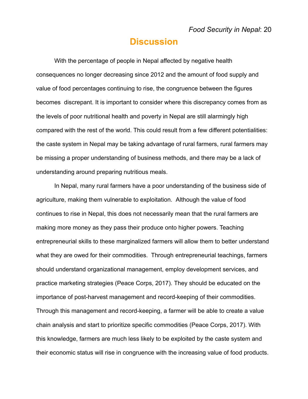### **Discussion**

With the percentage of people in Nepal affected by negative health consequences no longer decreasing since 2012 and the amount of food supply and value of food percentages continuing to rise, the congruence between the figures becomes discrepant. It is important to consider where this discrepancy comes from as the levels of poor nutritional health and poverty in Nepal are still alarmingly high compared with the rest of the world. This could result from a few different potentialities: the caste system in Nepal may be taking advantage of rural farmers, rural farmers may be missing a proper understanding of business methods, and there may be a lack of understanding around preparing nutritious meals.

In Nepal, many rural farmers have a poor understanding of the business side of agriculture, making them vulnerable to exploitation. Although the value of food continues to rise in Nepal, this does not necessarily mean that the rural farmers are making more money as they pass their produce onto higher powers. Teaching entrepreneurial skills to these marginalized farmers will allow them to better understand what they are owed for their commodities. Through entrepreneurial teachings, farmers should understand organizational management, employ development services, and practice marketing strategies (Peace Corps, 2017). They should be educated on the importance of post-harvest management and record-keeping of their commodities. Through this management and record-keeping, a farmer will be able to create a value chain analysis and start to prioritize specific commodities (Peace Corps, 2017). With this knowledge, farmers are much less likely to be exploited by the caste system and their economic status will rise in congruence with the increasing value of food products.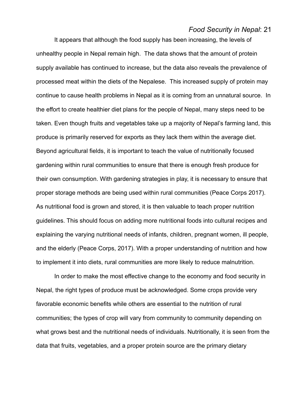It appears that although the food supply has been increasing, the levels of unhealthy people in Nepal remain high. The data shows that the amount of protein supply available has continued to increase, but the data also reveals the prevalence of processed meat within the diets of the Nepalese. This increased supply of protein may continue to cause health problems in Nepal as it is coming from an unnatural source. In the effort to create healthier diet plans for the people of Nepal, many steps need to be taken. Even though fruits and vegetables take up a majority of Nepal's farming land, this produce is primarily reserved for exports as they lack them within the average diet. Beyond agricultural fields, it is important to teach the value of nutritionally focused gardening within rural communities to ensure that there is enough fresh produce for their own consumption. With gardening strategies in play, it is necessary to ensure that proper storage methods are being used within rural communities (Peace Corps 2017). As nutritional food is grown and stored, it is then valuable to teach proper nutrition guidelines. This should focus on adding more nutritional foods into cultural recipes and explaining the varying nutritional needs of infants, children, pregnant women, ill people, and the elderly (Peace Corps, 2017). With a proper understanding of nutrition and how to implement it into diets, rural communities are more likely to reduce malnutrition.

In order to make the most effective change to the economy and food security in Nepal, the right types of produce must be acknowledged. Some crops provide very favorable economic benefits while others are essential to the nutrition of rural communities; the types of crop will vary from community to community depending on what grows best and the nutritional needs of individuals. Nutritionally, it is seen from the data that fruits, vegetables, and a proper protein source are the primary dietary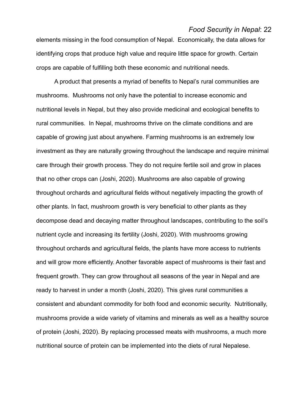elements missing in the food consumption of Nepal. Economically, the data allows for identifying crops that produce high value and require little space for growth. Certain crops are capable of fulfilling both these economic and nutritional needs.

A product that presents a myriad of benefits to Nepal's rural communities are mushrooms. Mushrooms not only have the potential to increase economic and nutritional levels in Nepal, but they also provide medicinal and ecological benefits to rural communities. In Nepal, mushrooms thrive on the climate conditions and are capable of growing just about anywhere. Farming mushrooms is an extremely low investment as they are naturally growing throughout the landscape and require minimal care through their growth process. They do not require fertile soil and grow in places that no other crops can (Joshi, 2020). Mushrooms are also capable of growing throughout orchards and agricultural fields without negatively impacting the growth of other plants. In fact, mushroom growth is very beneficial to other plants as they decompose dead and decaying matter throughout landscapes, contributing to the soil's nutrient cycle and increasing its fertility (Joshi, 2020). With mushrooms growing throughout orchards and agricultural fields, the plants have more access to nutrients and will grow more efficiently. Another favorable aspect of mushrooms is their fast and frequent growth. They can grow throughout all seasons of the year in Nepal and are ready to harvest in under a month (Joshi, 2020). This gives rural communities a consistent and abundant commodity for both food and economic security. Nutritionally, mushrooms provide a wide variety of vitamins and minerals as well as a healthy source of protein (Joshi, 2020). By replacing processed meats with mushrooms, a much more nutritional source of protein can be implemented into the diets of rural Nepalese.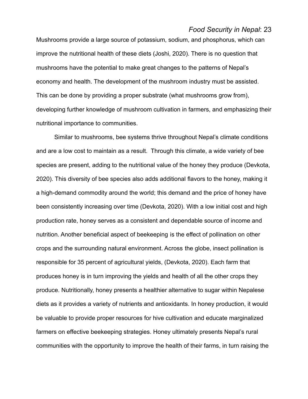Mushrooms provide a large source of potassium, sodium, and phosphorus, which can improve the nutritional health of these diets (Joshi, 2020). There is no question that mushrooms have the potential to make great changes to the patterns of Nepal's economy and health. The development of the mushroom industry must be assisted. This can be done by providing a proper substrate (what mushrooms grow from), developing further knowledge of mushroom cultivation in farmers, and emphasizing their nutritional importance to communities.

Similar to mushrooms, bee systems thrive throughout Nepal's climate conditions and are a low cost to maintain as a result. Through this climate, a wide variety of bee species are present, adding to the nutritional value of the honey they produce (Devkota, 2020). This diversity of bee species also adds additional flavors to the honey, making it a high-demand commodity around the world; this demand and the price of honey have been consistently increasing over time (Devkota, 2020). With a low initial cost and high production rate, honey serves as a consistent and dependable source of income and nutrition. Another beneficial aspect of beekeeping is the effect of pollination on other crops and the surrounding natural environment. Across the globe, insect pollination is responsible for 35 percent of agricultural yields, (Devkota, 2020). Each farm that produces honey is in turn improving the yields and health of all the other crops they produce. Nutritionally, honey presents a healthier alternative to sugar within Nepalese diets as it provides a variety of nutrients and antioxidants. In honey production, it would be valuable to provide proper resources for hive cultivation and educate marginalized farmers on effective beekeeping strategies. Honey ultimately presents Nepal's rural communities with the opportunity to improve the health of their farms, in turn raising the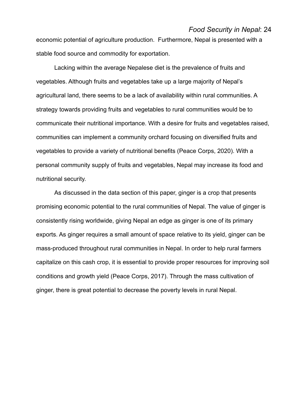economic potential of agriculture production. Furthermore, Nepal is presented with a stable food source and commodity for exportation.

Lacking within the average Nepalese diet is the prevalence of fruits and vegetables. Although fruits and vegetables take up a large majority of Nepal's agricultural land, there seems to be a lack of availability within rural communities. A strategy towards providing fruits and vegetables to rural communities would be to communicate their nutritional importance. With a desire for fruits and vegetables raised, communities can implement a community orchard focusing on diversified fruits and vegetables to provide a variety of nutritional benefits (Peace Corps, 2020). With a personal community supply of fruits and vegetables, Nepal may increase its food and nutritional security.

As discussed in the data section of this paper, ginger is a crop that presents promising economic potential to the rural communities of Nepal. The value of ginger is consistently rising worldwide, giving Nepal an edge as ginger is one of its primary exports. As ginger requires a small amount of space relative to its yield, ginger can be mass-produced throughout rural communities in Nepal. In order to help rural farmers capitalize on this cash crop, it is essential to provide proper resources for improving soil conditions and growth yield (Peace Corps, 2017). Through the mass cultivation of ginger, there is great potential to decrease the poverty levels in rural Nepal.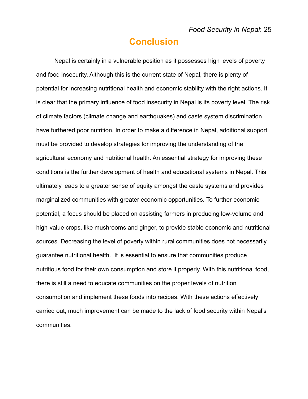### **Conclusion**

Nepal is certainly in a vulnerable position as it possesses high levels of poverty and food insecurity. Although this is the current state of Nepal, there is plenty of potential for increasing nutritional health and economic stability with the right actions. It is clear that the primary influence of food insecurity in Nepal is its poverty level. The risk of climate factors (climate change and earthquakes) and caste system discrimination have furthered poor nutrition. In order to make a difference in Nepal, additional support must be provided to develop strategies for improving the understanding of the agricultural economy and nutritional health. An essential strategy for improving these conditions is the further development of health and educational systems in Nepal. This ultimately leads to a greater sense of equity amongst the caste systems and provides marginalized communities with greater economic opportunities. To further economic potential, a focus should be placed on assisting farmers in producing low-volume and high-value crops, like mushrooms and ginger, to provide stable economic and nutritional sources. Decreasing the level of poverty within rural communities does not necessarily guarantee nutritional health. It is essential to ensure that communities produce nutritious food for their own consumption and store it properly. With this nutritional food, there is still a need to educate communities on the proper levels of nutrition consumption and implement these foods into recipes. With these actions effectively carried out, much improvement can be made to the lack of food security within Nepal's communities.